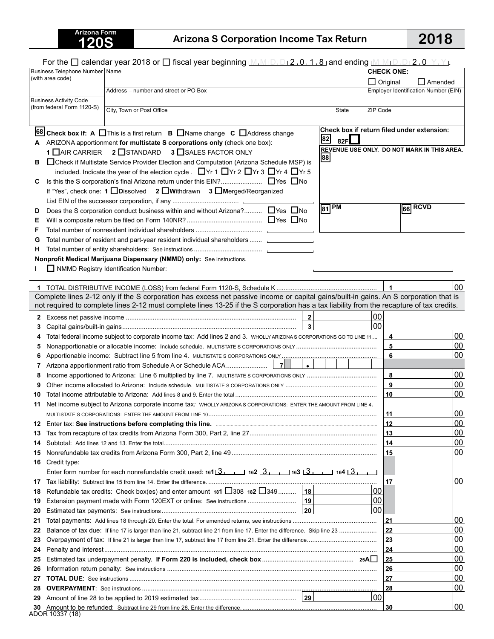## **120S Arizona S Corporation Income Tax Return 2018**

| <b>CHECK ONE:</b><br>Business Telephone Number   Name<br>(with area code)<br>$\Box$ Original<br>Amended<br>Employer Identification Number (EIN)<br>Address - number and street or PO Box<br><b>Business Activity Code</b><br>(from federal Form 1120-S)<br>City, Town or Post Office<br>ZIP Code<br>State<br>Check box if return filed under extension:<br>68 Check box if: A $\Box$ This is a first return $\Box$ Name change $\Box$ Address change<br>82<br>82F $\Box$<br>ARIZONA apportionment for multistate S corporations only (check one box):<br>REVENUE USE ONLY. DO NOT MARK IN THIS AREA.<br>1 OAIR CARRIER 2 OSTANDARD<br>3 SALES FACTOR ONLY<br>88<br>□ Check if Multistate Service Provider Election and Computation (Arizona Schedule MSP) is<br>в<br>included. Indicate the year of the election cycle. ■ Yr 1 ■ Yr 2 ■ Yr 3 ■ Yr 4 ■ Yr 5<br>Is this the S corporation's final Arizona return under this EIN? ■ Yes ■ No<br>С<br>If "Yes", check one: 1 Dissolved 2 DWithdrawn 3 DMerged/Reorganized<br>$\sqrt{81}$ PM<br>$66$ RCVD<br>Does the S corporation conduct business within and without Arizona? □ Yes □ No<br>D<br>Е<br>F<br>Total number of resident and part-year resident individual shareholders<br>G<br>н<br>Nonprofit Medical Marijuana Dispensary (NMMD) only: See instructions.<br>NMMD Registry Identification Number:<br>$\blacktriangleleft$<br>00<br>Complete lines 2-12 only if the S corporation has excess net passive income or capital gains/built-in gains. An S corporation that is<br>not required to complete lines 2-12 must complete lines 13-25 if the S corporation has a tax liability from the recapture of tax credits.<br>$\overline{2}$<br>00<br>2<br>$\overline{\mathbf{3}}$<br>00<br>З<br>00<br>4<br>Total federal income subject to corporate income tax: Add lines 2 and 3. WHOLLY ARIZONA S CORPORATIONS GO TO LINE 11<br>5<br> 00<br>5<br>$6\overline{6}$<br>00<br>6<br><b>7</b><br>7<br>8<br>00<br>8<br>$\overline{9}$<br>00<br>00<br>10<br>10<br>Net income subject to Arizona corporate income tax: WHOLLY ARIZONA S CORPORATIONS: ENTER THE AMOUNT FROM LINE 4.<br>11<br> 00<br>11<br>00<br>12<br>12<br>00<br>13<br>13<br>00<br>14<br>14<br>00<br>15<br>15<br>Credit type:<br>16<br>Enter form number for each nonrefundable credit used: $1613$ 1 $13$ 1 $13$ 1 $13$ 1 $13$ 1 $13$ 1 $13$ 1 $13$<br>00<br>17<br>17<br>00<br>Refundable tax credits: Check box(es) and enter amount 181 $\Box$ 308 182 $\Box$ 349 18<br>18<br>00<br>19<br>00<br>20<br>00<br>21<br>21<br>00<br>22<br>Balance of tax due: If line 17 is larger than line 21, subtract line 21 from line 17. Enter the difference. Skip line 23<br>22<br>00<br>23<br>23<br>00<br>24<br>24<br>00<br>25<br>25<br>00<br>26<br>26<br>00<br>27<br>27<br>00<br>28<br>28<br>00<br>29<br>100<br>30<br>30 |  |                 | For the $\Box$ calendar year 2018 or $\Box$ fiscal year beginning $[M,M_1D,D_12,0,1,8]$ and ending $[M,M_1D,D_12,0,Y,Y]$ . |  |  |  |
|-----------------------------------------------------------------------------------------------------------------------------------------------------------------------------------------------------------------------------------------------------------------------------------------------------------------------------------------------------------------------------------------------------------------------------------------------------------------------------------------------------------------------------------------------------------------------------------------------------------------------------------------------------------------------------------------------------------------------------------------------------------------------------------------------------------------------------------------------------------------------------------------------------------------------------------------------------------------------------------------------------------------------------------------------------------------------------------------------------------------------------------------------------------------------------------------------------------------------------------------------------------------------------------------------------------------------------------------------------------------------------------------------------------------------------------------------------------------------------------------------------------------------------------------------------------------------------------------------------------------------------------------------------------------------------------------------------------------------------------------------------------------------------------------------------------------------------------------------------------------------------------------------------------------------------------------------------------------------------------------------------------------------------------------------------------------------------------------------------------------------------------------------------------------------------------------------------------------------------------------------------------------------------------------------------------------------------------------------------------------------------------------------------------------------------------------------------------------------------------------------------------------------------------------------------------------------------------------------------------------------------------------------------------------------------------------------------------------------------------------------------------------------------------------------------------------------------------|--|-----------------|----------------------------------------------------------------------------------------------------------------------------|--|--|--|
|                                                                                                                                                                                                                                                                                                                                                                                                                                                                                                                                                                                                                                                                                                                                                                                                                                                                                                                                                                                                                                                                                                                                                                                                                                                                                                                                                                                                                                                                                                                                                                                                                                                                                                                                                                                                                                                                                                                                                                                                                                                                                                                                                                                                                                                                                                                                                                                                                                                                                                                                                                                                                                                                                                                                                                                                                                   |  |                 |                                                                                                                            |  |  |  |
|                                                                                                                                                                                                                                                                                                                                                                                                                                                                                                                                                                                                                                                                                                                                                                                                                                                                                                                                                                                                                                                                                                                                                                                                                                                                                                                                                                                                                                                                                                                                                                                                                                                                                                                                                                                                                                                                                                                                                                                                                                                                                                                                                                                                                                                                                                                                                                                                                                                                                                                                                                                                                                                                                                                                                                                                                                   |  |                 |                                                                                                                            |  |  |  |
|                                                                                                                                                                                                                                                                                                                                                                                                                                                                                                                                                                                                                                                                                                                                                                                                                                                                                                                                                                                                                                                                                                                                                                                                                                                                                                                                                                                                                                                                                                                                                                                                                                                                                                                                                                                                                                                                                                                                                                                                                                                                                                                                                                                                                                                                                                                                                                                                                                                                                                                                                                                                                                                                                                                                                                                                                                   |  |                 |                                                                                                                            |  |  |  |
|                                                                                                                                                                                                                                                                                                                                                                                                                                                                                                                                                                                                                                                                                                                                                                                                                                                                                                                                                                                                                                                                                                                                                                                                                                                                                                                                                                                                                                                                                                                                                                                                                                                                                                                                                                                                                                                                                                                                                                                                                                                                                                                                                                                                                                                                                                                                                                                                                                                                                                                                                                                                                                                                                                                                                                                                                                   |  |                 |                                                                                                                            |  |  |  |
|                                                                                                                                                                                                                                                                                                                                                                                                                                                                                                                                                                                                                                                                                                                                                                                                                                                                                                                                                                                                                                                                                                                                                                                                                                                                                                                                                                                                                                                                                                                                                                                                                                                                                                                                                                                                                                                                                                                                                                                                                                                                                                                                                                                                                                                                                                                                                                                                                                                                                                                                                                                                                                                                                                                                                                                                                                   |  |                 |                                                                                                                            |  |  |  |
|                                                                                                                                                                                                                                                                                                                                                                                                                                                                                                                                                                                                                                                                                                                                                                                                                                                                                                                                                                                                                                                                                                                                                                                                                                                                                                                                                                                                                                                                                                                                                                                                                                                                                                                                                                                                                                                                                                                                                                                                                                                                                                                                                                                                                                                                                                                                                                                                                                                                                                                                                                                                                                                                                                                                                                                                                                   |  |                 |                                                                                                                            |  |  |  |
|                                                                                                                                                                                                                                                                                                                                                                                                                                                                                                                                                                                                                                                                                                                                                                                                                                                                                                                                                                                                                                                                                                                                                                                                                                                                                                                                                                                                                                                                                                                                                                                                                                                                                                                                                                                                                                                                                                                                                                                                                                                                                                                                                                                                                                                                                                                                                                                                                                                                                                                                                                                                                                                                                                                                                                                                                                   |  |                 |                                                                                                                            |  |  |  |
|                                                                                                                                                                                                                                                                                                                                                                                                                                                                                                                                                                                                                                                                                                                                                                                                                                                                                                                                                                                                                                                                                                                                                                                                                                                                                                                                                                                                                                                                                                                                                                                                                                                                                                                                                                                                                                                                                                                                                                                                                                                                                                                                                                                                                                                                                                                                                                                                                                                                                                                                                                                                                                                                                                                                                                                                                                   |  |                 |                                                                                                                            |  |  |  |
|                                                                                                                                                                                                                                                                                                                                                                                                                                                                                                                                                                                                                                                                                                                                                                                                                                                                                                                                                                                                                                                                                                                                                                                                                                                                                                                                                                                                                                                                                                                                                                                                                                                                                                                                                                                                                                                                                                                                                                                                                                                                                                                                                                                                                                                                                                                                                                                                                                                                                                                                                                                                                                                                                                                                                                                                                                   |  |                 |                                                                                                                            |  |  |  |
|                                                                                                                                                                                                                                                                                                                                                                                                                                                                                                                                                                                                                                                                                                                                                                                                                                                                                                                                                                                                                                                                                                                                                                                                                                                                                                                                                                                                                                                                                                                                                                                                                                                                                                                                                                                                                                                                                                                                                                                                                                                                                                                                                                                                                                                                                                                                                                                                                                                                                                                                                                                                                                                                                                                                                                                                                                   |  |                 |                                                                                                                            |  |  |  |
|                                                                                                                                                                                                                                                                                                                                                                                                                                                                                                                                                                                                                                                                                                                                                                                                                                                                                                                                                                                                                                                                                                                                                                                                                                                                                                                                                                                                                                                                                                                                                                                                                                                                                                                                                                                                                                                                                                                                                                                                                                                                                                                                                                                                                                                                                                                                                                                                                                                                                                                                                                                                                                                                                                                                                                                                                                   |  |                 |                                                                                                                            |  |  |  |
|                                                                                                                                                                                                                                                                                                                                                                                                                                                                                                                                                                                                                                                                                                                                                                                                                                                                                                                                                                                                                                                                                                                                                                                                                                                                                                                                                                                                                                                                                                                                                                                                                                                                                                                                                                                                                                                                                                                                                                                                                                                                                                                                                                                                                                                                                                                                                                                                                                                                                                                                                                                                                                                                                                                                                                                                                                   |  |                 |                                                                                                                            |  |  |  |
|                                                                                                                                                                                                                                                                                                                                                                                                                                                                                                                                                                                                                                                                                                                                                                                                                                                                                                                                                                                                                                                                                                                                                                                                                                                                                                                                                                                                                                                                                                                                                                                                                                                                                                                                                                                                                                                                                                                                                                                                                                                                                                                                                                                                                                                                                                                                                                                                                                                                                                                                                                                                                                                                                                                                                                                                                                   |  |                 |                                                                                                                            |  |  |  |
|                                                                                                                                                                                                                                                                                                                                                                                                                                                                                                                                                                                                                                                                                                                                                                                                                                                                                                                                                                                                                                                                                                                                                                                                                                                                                                                                                                                                                                                                                                                                                                                                                                                                                                                                                                                                                                                                                                                                                                                                                                                                                                                                                                                                                                                                                                                                                                                                                                                                                                                                                                                                                                                                                                                                                                                                                                   |  |                 |                                                                                                                            |  |  |  |
|                                                                                                                                                                                                                                                                                                                                                                                                                                                                                                                                                                                                                                                                                                                                                                                                                                                                                                                                                                                                                                                                                                                                                                                                                                                                                                                                                                                                                                                                                                                                                                                                                                                                                                                                                                                                                                                                                                                                                                                                                                                                                                                                                                                                                                                                                                                                                                                                                                                                                                                                                                                                                                                                                                                                                                                                                                   |  |                 |                                                                                                                            |  |  |  |
|                                                                                                                                                                                                                                                                                                                                                                                                                                                                                                                                                                                                                                                                                                                                                                                                                                                                                                                                                                                                                                                                                                                                                                                                                                                                                                                                                                                                                                                                                                                                                                                                                                                                                                                                                                                                                                                                                                                                                                                                                                                                                                                                                                                                                                                                                                                                                                                                                                                                                                                                                                                                                                                                                                                                                                                                                                   |  |                 |                                                                                                                            |  |  |  |
|                                                                                                                                                                                                                                                                                                                                                                                                                                                                                                                                                                                                                                                                                                                                                                                                                                                                                                                                                                                                                                                                                                                                                                                                                                                                                                                                                                                                                                                                                                                                                                                                                                                                                                                                                                                                                                                                                                                                                                                                                                                                                                                                                                                                                                                                                                                                                                                                                                                                                                                                                                                                                                                                                                                                                                                                                                   |  |                 |                                                                                                                            |  |  |  |
|                                                                                                                                                                                                                                                                                                                                                                                                                                                                                                                                                                                                                                                                                                                                                                                                                                                                                                                                                                                                                                                                                                                                                                                                                                                                                                                                                                                                                                                                                                                                                                                                                                                                                                                                                                                                                                                                                                                                                                                                                                                                                                                                                                                                                                                                                                                                                                                                                                                                                                                                                                                                                                                                                                                                                                                                                                   |  |                 |                                                                                                                            |  |  |  |
|                                                                                                                                                                                                                                                                                                                                                                                                                                                                                                                                                                                                                                                                                                                                                                                                                                                                                                                                                                                                                                                                                                                                                                                                                                                                                                                                                                                                                                                                                                                                                                                                                                                                                                                                                                                                                                                                                                                                                                                                                                                                                                                                                                                                                                                                                                                                                                                                                                                                                                                                                                                                                                                                                                                                                                                                                                   |  |                 |                                                                                                                            |  |  |  |
|                                                                                                                                                                                                                                                                                                                                                                                                                                                                                                                                                                                                                                                                                                                                                                                                                                                                                                                                                                                                                                                                                                                                                                                                                                                                                                                                                                                                                                                                                                                                                                                                                                                                                                                                                                                                                                                                                                                                                                                                                                                                                                                                                                                                                                                                                                                                                                                                                                                                                                                                                                                                                                                                                                                                                                                                                                   |  |                 |                                                                                                                            |  |  |  |
|                                                                                                                                                                                                                                                                                                                                                                                                                                                                                                                                                                                                                                                                                                                                                                                                                                                                                                                                                                                                                                                                                                                                                                                                                                                                                                                                                                                                                                                                                                                                                                                                                                                                                                                                                                                                                                                                                                                                                                                                                                                                                                                                                                                                                                                                                                                                                                                                                                                                                                                                                                                                                                                                                                                                                                                                                                   |  |                 |                                                                                                                            |  |  |  |
|                                                                                                                                                                                                                                                                                                                                                                                                                                                                                                                                                                                                                                                                                                                                                                                                                                                                                                                                                                                                                                                                                                                                                                                                                                                                                                                                                                                                                                                                                                                                                                                                                                                                                                                                                                                                                                                                                                                                                                                                                                                                                                                                                                                                                                                                                                                                                                                                                                                                                                                                                                                                                                                                                                                                                                                                                                   |  |                 |                                                                                                                            |  |  |  |
|                                                                                                                                                                                                                                                                                                                                                                                                                                                                                                                                                                                                                                                                                                                                                                                                                                                                                                                                                                                                                                                                                                                                                                                                                                                                                                                                                                                                                                                                                                                                                                                                                                                                                                                                                                                                                                                                                                                                                                                                                                                                                                                                                                                                                                                                                                                                                                                                                                                                                                                                                                                                                                                                                                                                                                                                                                   |  |                 |                                                                                                                            |  |  |  |
|                                                                                                                                                                                                                                                                                                                                                                                                                                                                                                                                                                                                                                                                                                                                                                                                                                                                                                                                                                                                                                                                                                                                                                                                                                                                                                                                                                                                                                                                                                                                                                                                                                                                                                                                                                                                                                                                                                                                                                                                                                                                                                                                                                                                                                                                                                                                                                                                                                                                                                                                                                                                                                                                                                                                                                                                                                   |  |                 |                                                                                                                            |  |  |  |
|                                                                                                                                                                                                                                                                                                                                                                                                                                                                                                                                                                                                                                                                                                                                                                                                                                                                                                                                                                                                                                                                                                                                                                                                                                                                                                                                                                                                                                                                                                                                                                                                                                                                                                                                                                                                                                                                                                                                                                                                                                                                                                                                                                                                                                                                                                                                                                                                                                                                                                                                                                                                                                                                                                                                                                                                                                   |  |                 |                                                                                                                            |  |  |  |
|                                                                                                                                                                                                                                                                                                                                                                                                                                                                                                                                                                                                                                                                                                                                                                                                                                                                                                                                                                                                                                                                                                                                                                                                                                                                                                                                                                                                                                                                                                                                                                                                                                                                                                                                                                                                                                                                                                                                                                                                                                                                                                                                                                                                                                                                                                                                                                                                                                                                                                                                                                                                                                                                                                                                                                                                                                   |  |                 |                                                                                                                            |  |  |  |
|                                                                                                                                                                                                                                                                                                                                                                                                                                                                                                                                                                                                                                                                                                                                                                                                                                                                                                                                                                                                                                                                                                                                                                                                                                                                                                                                                                                                                                                                                                                                                                                                                                                                                                                                                                                                                                                                                                                                                                                                                                                                                                                                                                                                                                                                                                                                                                                                                                                                                                                                                                                                                                                                                                                                                                                                                                   |  |                 |                                                                                                                            |  |  |  |
|                                                                                                                                                                                                                                                                                                                                                                                                                                                                                                                                                                                                                                                                                                                                                                                                                                                                                                                                                                                                                                                                                                                                                                                                                                                                                                                                                                                                                                                                                                                                                                                                                                                                                                                                                                                                                                                                                                                                                                                                                                                                                                                                                                                                                                                                                                                                                                                                                                                                                                                                                                                                                                                                                                                                                                                                                                   |  |                 |                                                                                                                            |  |  |  |
|                                                                                                                                                                                                                                                                                                                                                                                                                                                                                                                                                                                                                                                                                                                                                                                                                                                                                                                                                                                                                                                                                                                                                                                                                                                                                                                                                                                                                                                                                                                                                                                                                                                                                                                                                                                                                                                                                                                                                                                                                                                                                                                                                                                                                                                                                                                                                                                                                                                                                                                                                                                                                                                                                                                                                                                                                                   |  |                 |                                                                                                                            |  |  |  |
|                                                                                                                                                                                                                                                                                                                                                                                                                                                                                                                                                                                                                                                                                                                                                                                                                                                                                                                                                                                                                                                                                                                                                                                                                                                                                                                                                                                                                                                                                                                                                                                                                                                                                                                                                                                                                                                                                                                                                                                                                                                                                                                                                                                                                                                                                                                                                                                                                                                                                                                                                                                                                                                                                                                                                                                                                                   |  |                 |                                                                                                                            |  |  |  |
|                                                                                                                                                                                                                                                                                                                                                                                                                                                                                                                                                                                                                                                                                                                                                                                                                                                                                                                                                                                                                                                                                                                                                                                                                                                                                                                                                                                                                                                                                                                                                                                                                                                                                                                                                                                                                                                                                                                                                                                                                                                                                                                                                                                                                                                                                                                                                                                                                                                                                                                                                                                                                                                                                                                                                                                                                                   |  |                 |                                                                                                                            |  |  |  |
|                                                                                                                                                                                                                                                                                                                                                                                                                                                                                                                                                                                                                                                                                                                                                                                                                                                                                                                                                                                                                                                                                                                                                                                                                                                                                                                                                                                                                                                                                                                                                                                                                                                                                                                                                                                                                                                                                                                                                                                                                                                                                                                                                                                                                                                                                                                                                                                                                                                                                                                                                                                                                                                                                                                                                                                                                                   |  |                 |                                                                                                                            |  |  |  |
|                                                                                                                                                                                                                                                                                                                                                                                                                                                                                                                                                                                                                                                                                                                                                                                                                                                                                                                                                                                                                                                                                                                                                                                                                                                                                                                                                                                                                                                                                                                                                                                                                                                                                                                                                                                                                                                                                                                                                                                                                                                                                                                                                                                                                                                                                                                                                                                                                                                                                                                                                                                                                                                                                                                                                                                                                                   |  |                 |                                                                                                                            |  |  |  |
|                                                                                                                                                                                                                                                                                                                                                                                                                                                                                                                                                                                                                                                                                                                                                                                                                                                                                                                                                                                                                                                                                                                                                                                                                                                                                                                                                                                                                                                                                                                                                                                                                                                                                                                                                                                                                                                                                                                                                                                                                                                                                                                                                                                                                                                                                                                                                                                                                                                                                                                                                                                                                                                                                                                                                                                                                                   |  |                 |                                                                                                                            |  |  |  |
|                                                                                                                                                                                                                                                                                                                                                                                                                                                                                                                                                                                                                                                                                                                                                                                                                                                                                                                                                                                                                                                                                                                                                                                                                                                                                                                                                                                                                                                                                                                                                                                                                                                                                                                                                                                                                                                                                                                                                                                                                                                                                                                                                                                                                                                                                                                                                                                                                                                                                                                                                                                                                                                                                                                                                                                                                                   |  |                 |                                                                                                                            |  |  |  |
|                                                                                                                                                                                                                                                                                                                                                                                                                                                                                                                                                                                                                                                                                                                                                                                                                                                                                                                                                                                                                                                                                                                                                                                                                                                                                                                                                                                                                                                                                                                                                                                                                                                                                                                                                                                                                                                                                                                                                                                                                                                                                                                                                                                                                                                                                                                                                                                                                                                                                                                                                                                                                                                                                                                                                                                                                                   |  |                 |                                                                                                                            |  |  |  |
|                                                                                                                                                                                                                                                                                                                                                                                                                                                                                                                                                                                                                                                                                                                                                                                                                                                                                                                                                                                                                                                                                                                                                                                                                                                                                                                                                                                                                                                                                                                                                                                                                                                                                                                                                                                                                                                                                                                                                                                                                                                                                                                                                                                                                                                                                                                                                                                                                                                                                                                                                                                                                                                                                                                                                                                                                                   |  |                 |                                                                                                                            |  |  |  |
|                                                                                                                                                                                                                                                                                                                                                                                                                                                                                                                                                                                                                                                                                                                                                                                                                                                                                                                                                                                                                                                                                                                                                                                                                                                                                                                                                                                                                                                                                                                                                                                                                                                                                                                                                                                                                                                                                                                                                                                                                                                                                                                                                                                                                                                                                                                                                                                                                                                                                                                                                                                                                                                                                                                                                                                                                                   |  |                 |                                                                                                                            |  |  |  |
|                                                                                                                                                                                                                                                                                                                                                                                                                                                                                                                                                                                                                                                                                                                                                                                                                                                                                                                                                                                                                                                                                                                                                                                                                                                                                                                                                                                                                                                                                                                                                                                                                                                                                                                                                                                                                                                                                                                                                                                                                                                                                                                                                                                                                                                                                                                                                                                                                                                                                                                                                                                                                                                                                                                                                                                                                                   |  |                 |                                                                                                                            |  |  |  |
|                                                                                                                                                                                                                                                                                                                                                                                                                                                                                                                                                                                                                                                                                                                                                                                                                                                                                                                                                                                                                                                                                                                                                                                                                                                                                                                                                                                                                                                                                                                                                                                                                                                                                                                                                                                                                                                                                                                                                                                                                                                                                                                                                                                                                                                                                                                                                                                                                                                                                                                                                                                                                                                                                                                                                                                                                                   |  |                 |                                                                                                                            |  |  |  |
|                                                                                                                                                                                                                                                                                                                                                                                                                                                                                                                                                                                                                                                                                                                                                                                                                                                                                                                                                                                                                                                                                                                                                                                                                                                                                                                                                                                                                                                                                                                                                                                                                                                                                                                                                                                                                                                                                                                                                                                                                                                                                                                                                                                                                                                                                                                                                                                                                                                                                                                                                                                                                                                                                                                                                                                                                                   |  |                 |                                                                                                                            |  |  |  |
|                                                                                                                                                                                                                                                                                                                                                                                                                                                                                                                                                                                                                                                                                                                                                                                                                                                                                                                                                                                                                                                                                                                                                                                                                                                                                                                                                                                                                                                                                                                                                                                                                                                                                                                                                                                                                                                                                                                                                                                                                                                                                                                                                                                                                                                                                                                                                                                                                                                                                                                                                                                                                                                                                                                                                                                                                                   |  |                 |                                                                                                                            |  |  |  |
|                                                                                                                                                                                                                                                                                                                                                                                                                                                                                                                                                                                                                                                                                                                                                                                                                                                                                                                                                                                                                                                                                                                                                                                                                                                                                                                                                                                                                                                                                                                                                                                                                                                                                                                                                                                                                                                                                                                                                                                                                                                                                                                                                                                                                                                                                                                                                                                                                                                                                                                                                                                                                                                                                                                                                                                                                                   |  |                 |                                                                                                                            |  |  |  |
|                                                                                                                                                                                                                                                                                                                                                                                                                                                                                                                                                                                                                                                                                                                                                                                                                                                                                                                                                                                                                                                                                                                                                                                                                                                                                                                                                                                                                                                                                                                                                                                                                                                                                                                                                                                                                                                                                                                                                                                                                                                                                                                                                                                                                                                                                                                                                                                                                                                                                                                                                                                                                                                                                                                                                                                                                                   |  |                 |                                                                                                                            |  |  |  |
|                                                                                                                                                                                                                                                                                                                                                                                                                                                                                                                                                                                                                                                                                                                                                                                                                                                                                                                                                                                                                                                                                                                                                                                                                                                                                                                                                                                                                                                                                                                                                                                                                                                                                                                                                                                                                                                                                                                                                                                                                                                                                                                                                                                                                                                                                                                                                                                                                                                                                                                                                                                                                                                                                                                                                                                                                                   |  |                 |                                                                                                                            |  |  |  |
|                                                                                                                                                                                                                                                                                                                                                                                                                                                                                                                                                                                                                                                                                                                                                                                                                                                                                                                                                                                                                                                                                                                                                                                                                                                                                                                                                                                                                                                                                                                                                                                                                                                                                                                                                                                                                                                                                                                                                                                                                                                                                                                                                                                                                                                                                                                                                                                                                                                                                                                                                                                                                                                                                                                                                                                                                                   |  |                 |                                                                                                                            |  |  |  |
|                                                                                                                                                                                                                                                                                                                                                                                                                                                                                                                                                                                                                                                                                                                                                                                                                                                                                                                                                                                                                                                                                                                                                                                                                                                                                                                                                                                                                                                                                                                                                                                                                                                                                                                                                                                                                                                                                                                                                                                                                                                                                                                                                                                                                                                                                                                                                                                                                                                                                                                                                                                                                                                                                                                                                                                                                                   |  |                 |                                                                                                                            |  |  |  |
|                                                                                                                                                                                                                                                                                                                                                                                                                                                                                                                                                                                                                                                                                                                                                                                                                                                                                                                                                                                                                                                                                                                                                                                                                                                                                                                                                                                                                                                                                                                                                                                                                                                                                                                                                                                                                                                                                                                                                                                                                                                                                                                                                                                                                                                                                                                                                                                                                                                                                                                                                                                                                                                                                                                                                                                                                                   |  |                 |                                                                                                                            |  |  |  |
|                                                                                                                                                                                                                                                                                                                                                                                                                                                                                                                                                                                                                                                                                                                                                                                                                                                                                                                                                                                                                                                                                                                                                                                                                                                                                                                                                                                                                                                                                                                                                                                                                                                                                                                                                                                                                                                                                                                                                                                                                                                                                                                                                                                                                                                                                                                                                                                                                                                                                                                                                                                                                                                                                                                                                                                                                                   |  |                 |                                                                                                                            |  |  |  |
|                                                                                                                                                                                                                                                                                                                                                                                                                                                                                                                                                                                                                                                                                                                                                                                                                                                                                                                                                                                                                                                                                                                                                                                                                                                                                                                                                                                                                                                                                                                                                                                                                                                                                                                                                                                                                                                                                                                                                                                                                                                                                                                                                                                                                                                                                                                                                                                                                                                                                                                                                                                                                                                                                                                                                                                                                                   |  |                 |                                                                                                                            |  |  |  |
|                                                                                                                                                                                                                                                                                                                                                                                                                                                                                                                                                                                                                                                                                                                                                                                                                                                                                                                                                                                                                                                                                                                                                                                                                                                                                                                                                                                                                                                                                                                                                                                                                                                                                                                                                                                                                                                                                                                                                                                                                                                                                                                                                                                                                                                                                                                                                                                                                                                                                                                                                                                                                                                                                                                                                                                                                                   |  |                 |                                                                                                                            |  |  |  |
|                                                                                                                                                                                                                                                                                                                                                                                                                                                                                                                                                                                                                                                                                                                                                                                                                                                                                                                                                                                                                                                                                                                                                                                                                                                                                                                                                                                                                                                                                                                                                                                                                                                                                                                                                                                                                                                                                                                                                                                                                                                                                                                                                                                                                                                                                                                                                                                                                                                                                                                                                                                                                                                                                                                                                                                                                                   |  |                 |                                                                                                                            |  |  |  |
|                                                                                                                                                                                                                                                                                                                                                                                                                                                                                                                                                                                                                                                                                                                                                                                                                                                                                                                                                                                                                                                                                                                                                                                                                                                                                                                                                                                                                                                                                                                                                                                                                                                                                                                                                                                                                                                                                                                                                                                                                                                                                                                                                                                                                                                                                                                                                                                                                                                                                                                                                                                                                                                                                                                                                                                                                                   |  |                 |                                                                                                                            |  |  |  |
|                                                                                                                                                                                                                                                                                                                                                                                                                                                                                                                                                                                                                                                                                                                                                                                                                                                                                                                                                                                                                                                                                                                                                                                                                                                                                                                                                                                                                                                                                                                                                                                                                                                                                                                                                                                                                                                                                                                                                                                                                                                                                                                                                                                                                                                                                                                                                                                                                                                                                                                                                                                                                                                                                                                                                                                                                                   |  |                 |                                                                                                                            |  |  |  |
|                                                                                                                                                                                                                                                                                                                                                                                                                                                                                                                                                                                                                                                                                                                                                                                                                                                                                                                                                                                                                                                                                                                                                                                                                                                                                                                                                                                                                                                                                                                                                                                                                                                                                                                                                                                                                                                                                                                                                                                                                                                                                                                                                                                                                                                                                                                                                                                                                                                                                                                                                                                                                                                                                                                                                                                                                                   |  | ADOR 10337 (18) |                                                                                                                            |  |  |  |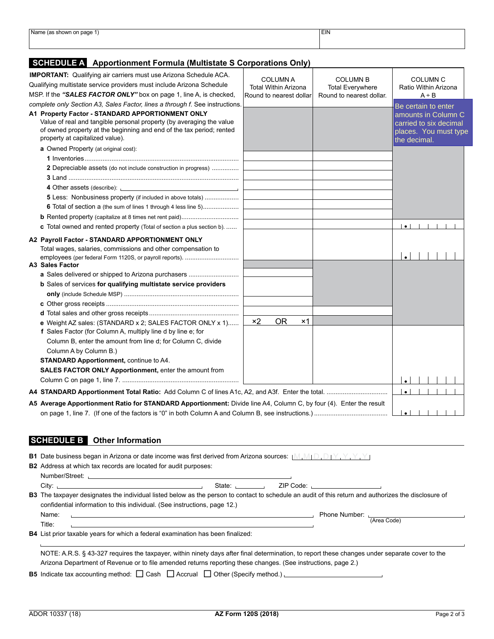| Name (as.<br>(as shown on page 1)   | <b>EIN</b> |  |
|-------------------------------------|------------|--|
| the contract of the contract of the |            |  |
|                                     |            |  |
|                                     |            |  |
|                                     |            |  |

## **SCHEDULE A Apportionment Formula (Multistate S Corporations Only)**

| <b>IMPORTANT:</b> Qualifying air carriers must use Arizona Schedule ACA.<br>Qualifying multistate service providers must include Arizona Schedule<br>MSP. If the "SALES FACTOR ONLY" box on page 1, line A, is checked,                                                                                                                                                             | <b>COLUMN A</b><br><b>Total Within Arizona</b><br>Round to nearest dollar | <b>COLUMN B</b><br><b>Total Everywhere</b><br>Round to nearest dollar. | <b>COLUMN C</b><br>Ratio Within Arizona<br>$A \div B$                                                         |
|-------------------------------------------------------------------------------------------------------------------------------------------------------------------------------------------------------------------------------------------------------------------------------------------------------------------------------------------------------------------------------------|---------------------------------------------------------------------------|------------------------------------------------------------------------|---------------------------------------------------------------------------------------------------------------|
| complete only Section A3, Sales Factor, lines a through f. See instructions.<br>A1 Property Factor - STANDARD APPORTIONMENT ONLY<br>Value of real and tangible personal property (by averaging the value<br>of owned property at the beginning and end of the tax period; rented<br>property at capitalized value).                                                                 |                                                                           |                                                                        | Be certain to enter<br>amounts in Column C<br>carried to six decimal<br>places. You must type<br>the decimal. |
| a Owned Property (at original cost):<br>2 Depreciable assets (do not include construction in progress)                                                                                                                                                                                                                                                                              |                                                                           |                                                                        |                                                                                                               |
| 4 Other assets (describe): <u>contract and a set of the set of the set of the set of the set of the set of the set of the set of the set of the set of the set of the set of the set of the set of the set of the set of the set</u><br><b>5</b> Less: Nonbusiness property (if included in above totals)<br><b>6</b> Total of section a (the sum of lines 1 through 4 less line 5) |                                                                           |                                                                        |                                                                                                               |
| <b>c</b> Total owned and rented property (Total of section a plus section b)<br>A2 Payroll Factor - STANDARD APPORTIONMENT ONLY<br>Total wages, salaries, commissions and other compensation to<br>employees (per federal Form 1120S, or payroll reports).<br>A3 Sales Factor                                                                                                       |                                                                           |                                                                        | $\bullet$                                                                                                     |
| a Sales delivered or shipped to Arizona purchasers<br>b Sales of services for qualifying multistate service providers                                                                                                                                                                                                                                                               |                                                                           |                                                                        |                                                                                                               |
| e Weight AZ sales: (STANDARD x 2; SALES FACTOR ONLY x 1)                                                                                                                                                                                                                                                                                                                            | x2<br><b>OR</b><br>×1                                                     |                                                                        |                                                                                                               |
| f Sales Factor (for Column A, multiply line d by line e; for<br>Column B, enter the amount from line d; for Column C, divide<br>Column A by Column B.)<br><b>STANDARD Apportionment, continue to A4.</b><br>SALES FACTOR ONLY Apportionment, enter the amount from                                                                                                                  |                                                                           |                                                                        |                                                                                                               |
|                                                                                                                                                                                                                                                                                                                                                                                     |                                                                           |                                                                        | $\bullet$<br>$\bullet$                                                                                        |
| A5 Average Apportionment Ratio for STANDARD Apportionment: Divide line A4, Column C, by four (4). Enter the result                                                                                                                                                                                                                                                                  |                                                                           |                                                                        | $\bullet$ $\vdash$                                                                                            |

## **SCHEDULE B Other Information**

| <b>B1</b> Date business began in Arizona or date income was first derived from Arizona sources: $[M_1M_1D_1D_1Y_1Y_1Y_1Y_2]$<br><b>B2</b> Address at which tax records are located for audit purposes:                                                          |                                                                                                                                                                                                                                |  |                           |  |
|-----------------------------------------------------------------------------------------------------------------------------------------------------------------------------------------------------------------------------------------------------------------|--------------------------------------------------------------------------------------------------------------------------------------------------------------------------------------------------------------------------------|--|---------------------------|--|
|                                                                                                                                                                                                                                                                 |                                                                                                                                                                                                                                |  |                           |  |
|                                                                                                                                                                                                                                                                 | State: the state of the state of the state of the state of the state of the state of the state of the state of the state of the state of the state of the state of the state of the state of the state of the state of the sta |  |                           |  |
| <b>B3</b> The taxpayer designates the individual listed below as the person to contact to schedule an audit of this return and authorizes the disclosure of<br>confidential information to this individual. (See instructions, page 12.)                        |                                                                                                                                                                                                                                |  |                           |  |
| Name:<br><b>这个人都是不是一个人的人,我们也不是不是一个人的人,我们也不是不是</b> 一个人的人,我们也不是不是不是不是不是不是不是不是不是不是不是不是不是不是不是不是不是不是<br>Title:                                                                                                                                                       |                                                                                                                                                                                                                                |  | Phone Number: [Area Code] |  |
| <b>B4</b> List prior taxable years for which a federal examination has been finalized:                                                                                                                                                                          |                                                                                                                                                                                                                                |  |                           |  |
| NOTE: A.R.S. § 43-327 requires the taxpayer, within ninety days after final determination, to report these changes under separate cover to the<br>Arizona Department of Revenue or to file amended returns reporting these changes. (See instructions, page 2.) |                                                                                                                                                                                                                                |  |                           |  |
| <b>B5</b> Indicate tax accounting method: $\Box$ Cash $\Box$ Accrual $\Box$ Other (Specify method.)                                                                                                                                                             |                                                                                                                                                                                                                                |  |                           |  |